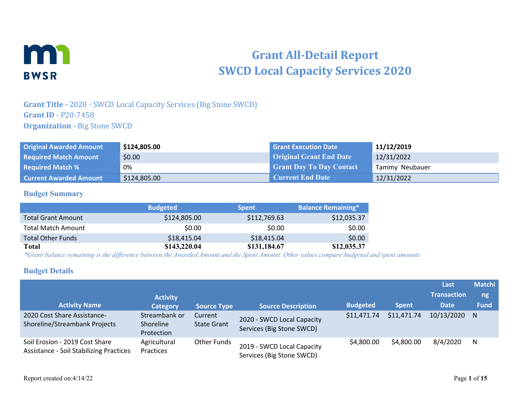

# **Grant All-Detail Report SWCD Local Capacity Services 2020**

### **Grant Title -** 2020 - SWCD Local Capacity Services (Big Stone SWCD) **Grant ID** - P20-7458 **Organization - Big Stone SWCD**

| <b>Original Awarded Amount</b> | \$124,805.00 | <b>Grant Execution Date</b>     | 11/12/2019     |
|--------------------------------|--------------|---------------------------------|----------------|
| <b>Required Match Amount</b>   | \$0.00       | <b>Original Grant End Date</b>  | 12/31/2022     |
| <b>Required Match %</b>        | 0%           | <b>Grant Day To Day Contact</b> | Tammy Neubauer |
| <b>Current Awarded Amount</b>  | \$124,805.00 | Current End Date                | 12/31/2022     |

#### **Budget Summary**

|                           | <b>Budgeted</b> | <b>Spent</b> | <b>Balance Remaining*</b> |
|---------------------------|-----------------|--------------|---------------------------|
| <b>Total Grant Amount</b> | \$124,805.00    | \$112,769.63 | \$12,035.37               |
| <b>Total Match Amount</b> | \$0.00          | \$0.00       | \$0.00                    |
| <b>Total Other Funds</b>  | \$18,415.04     | \$18,415.04  | \$0.00                    |
| Total                     | \$143,220.04    | \$131,184.67 | \$12,035.37               |

*\*Grant balance remaining is the difference between the Awarded Amount and the Spent Amount. Other values compare budgeted and spent amounts.*

#### **Budget Details**

|                                                                           |                                          |                               |                                                         |                 |              | Last               | <b>Matchi</b> |
|---------------------------------------------------------------------------|------------------------------------------|-------------------------------|---------------------------------------------------------|-----------------|--------------|--------------------|---------------|
|                                                                           | <b>Activity</b>                          |                               |                                                         |                 |              | <b>Transaction</b> | ng            |
| <b>Activity Name</b>                                                      | <b>Category</b>                          | <b>Source Type</b>            | <b>Source Description</b>                               | <b>Budgeted</b> | <b>Spent</b> | <b>Date</b>        | <b>Fund</b>   |
| 2020 Cost Share Assistance-<br>Shoreline/Streambank Projects              | Streambank or<br>Shoreline<br>Protection | Current<br><b>State Grant</b> | 2020 - SWCD Local Capacity<br>Services (Big Stone SWCD) | \$11,471.74     | \$11,471.74  | 10/13/2020         | N.            |
| Soil Erosion - 2019 Cost Share<br>Assistance - Soil Stabilizing Practices | Agricultural<br>Practices                | <b>Other Funds</b>            | 2019 - SWCD Local Capacity<br>Services (Big Stone SWCD) | \$4,800.00      | \$4,800.00   | 8/4/2020           | N             |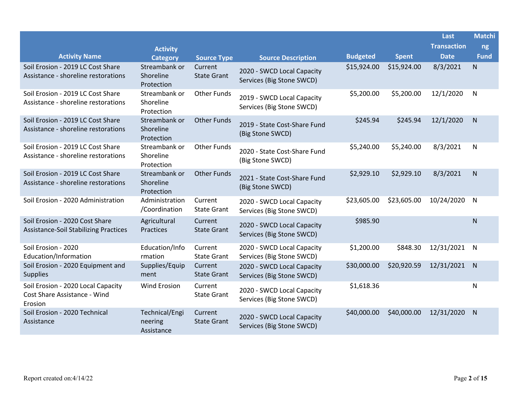|                                                                                |                                          |                               |                                                         |                 |              | Last               | <b>Matchi</b> |
|--------------------------------------------------------------------------------|------------------------------------------|-------------------------------|---------------------------------------------------------|-----------------|--------------|--------------------|---------------|
|                                                                                | <b>Activity</b>                          |                               |                                                         |                 |              | <b>Transaction</b> | ng            |
| <b>Activity Name</b>                                                           | <b>Category</b>                          | <b>Source Type</b>            | <b>Source Description</b>                               | <b>Budgeted</b> | <b>Spent</b> | <b>Date</b>        | <b>Fund</b>   |
| Soil Erosion - 2019 LC Cost Share<br>Assistance - shoreline restorations       | Streambank or<br>Shoreline<br>Protection | Current<br><b>State Grant</b> | 2020 - SWCD Local Capacity<br>Services (Big Stone SWCD) | \$15,924.00     | \$15,924.00  | 8/3/2021           | N             |
| Soil Erosion - 2019 LC Cost Share<br>Assistance - shoreline restorations       | Streambank or<br>Shoreline<br>Protection | <b>Other Funds</b>            | 2019 - SWCD Local Capacity<br>Services (Big Stone SWCD) | \$5,200.00      | \$5,200.00   | 12/1/2020          | N             |
| Soil Erosion - 2019 LC Cost Share<br>Assistance - shoreline restorations       | Streambank or<br>Shoreline<br>Protection | <b>Other Funds</b>            | 2019 - State Cost-Share Fund<br>(Big Stone SWCD)        | \$245.94        | \$245.94     | 12/1/2020          | N.            |
| Soil Erosion - 2019 LC Cost Share<br>Assistance - shoreline restorations       | Streambank or<br>Shoreline<br>Protection | <b>Other Funds</b>            | 2020 - State Cost-Share Fund<br>(Big Stone SWCD)        | \$5,240.00      | \$5,240.00   | 8/3/2021           | $\mathsf{N}$  |
| Soil Erosion - 2019 LC Cost Share<br>Assistance - shoreline restorations       | Streambank or<br>Shoreline<br>Protection | <b>Other Funds</b>            | 2021 - State Cost-Share Fund<br>(Big Stone SWCD)        | \$2,929.10      | \$2,929.10   | 8/3/2021           | N             |
| Soil Erosion - 2020 Administration                                             | Administration<br>/Coordination          | Current<br><b>State Grant</b> | 2020 - SWCD Local Capacity<br>Services (Big Stone SWCD) | \$23,605.00     | \$23,605.00  | 10/24/2020         | N             |
| Soil Erosion - 2020 Cost Share<br><b>Assistance-Soil Stabilizing Practices</b> | Agricultural<br>Practices                | Current<br><b>State Grant</b> | 2020 - SWCD Local Capacity<br>Services (Big Stone SWCD) | \$985.90        |              |                    | N             |
| Soil Erosion - 2020<br>Education/Information                                   | Education/Info<br>rmation                | Current<br><b>State Grant</b> | 2020 - SWCD Local Capacity<br>Services (Big Stone SWCD) | \$1,200.00      | \$848.30     | 12/31/2021         | N             |
| Soil Erosion - 2020 Equipment and<br><b>Supplies</b>                           | Supplies/Equip<br>ment                   | Current<br><b>State Grant</b> | 2020 - SWCD Local Capacity<br>Services (Big Stone SWCD) | \$30,000.00     | \$20,920.59  | 12/31/2021         | N             |
| Soil Erosion - 2020 Local Capacity<br>Cost Share Assistance - Wind<br>Erosion  | <b>Wind Erosion</b>                      | Current<br><b>State Grant</b> | 2020 - SWCD Local Capacity<br>Services (Big Stone SWCD) | \$1,618.36      |              |                    | N             |
| Soil Erosion - 2020 Technical<br>Assistance                                    | Technical/Engi<br>neering<br>Assistance  | Current<br><b>State Grant</b> | 2020 - SWCD Local Capacity<br>Services (Big Stone SWCD) | \$40,000.00     | \$40,000.00  | 12/31/2020         | N.            |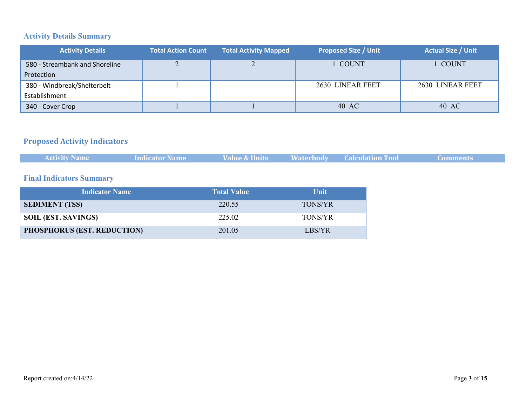# **Activity Details Summary**

| <b>Activity Details</b>        | <b>Total Action Count</b> | <b>Total Activity Mapped</b> | <b>Proposed Size / Unit</b> | <b>Actual Size / Unit</b> |
|--------------------------------|---------------------------|------------------------------|-----------------------------|---------------------------|
| 580 - Streambank and Shoreline | ∠                         |                              | COUNT                       | l COUNT                   |
| Protection                     |                           |                              |                             |                           |
| 380 - Windbreak/Shelterbelt    |                           |                              | 2630 LINEAR FEET            | 2630 LINEAR FEET          |
| Establishment                  |                           |                              |                             |                           |
| 340 - Cover Crop               |                           |                              | 40 AC                       | 40 AC                     |

#### **Proposed Activity Indicators**

| <b>Activity Name</b> | Indicator Name | Value & Units | <b>Waterbody Calculation Tool</b> | <b>Comments</b> |
|----------------------|----------------|---------------|-----------------------------------|-----------------|
|                      |                |               |                                   |                 |

#### **Final Indicators Summary**

| <b>Indicator Name</b>              | <b>Total Value</b> | <b>Unit</b>    |
|------------------------------------|--------------------|----------------|
| <b>SEDIMENT (TSS)</b>              | 220.55             | <b>TONS/YR</b> |
| <b>SOIL (EST. SAVINGS)</b>         | 225 02             | <b>TONS/YR</b> |
| <b>PHOSPHORUS (EST. REDUCTION)</b> | 201.05             | LBS/YR         |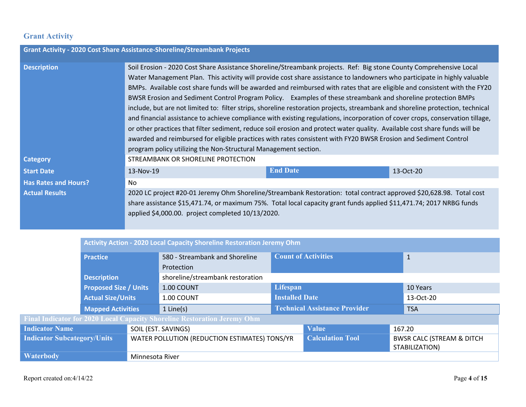# **Grant Activity**

| <b>Grant Activity - 2020 Cost Share Assistance-Shoreline/Streambank Projects</b> |                                                                                                                                                                                                                                                                                                                                                                                                                                                                                                                                                                                                                                                                                                                                                                                                                                                                                                                                                                                                                                                                                    |                 |           |  |  |  |
|----------------------------------------------------------------------------------|------------------------------------------------------------------------------------------------------------------------------------------------------------------------------------------------------------------------------------------------------------------------------------------------------------------------------------------------------------------------------------------------------------------------------------------------------------------------------------------------------------------------------------------------------------------------------------------------------------------------------------------------------------------------------------------------------------------------------------------------------------------------------------------------------------------------------------------------------------------------------------------------------------------------------------------------------------------------------------------------------------------------------------------------------------------------------------|-----------------|-----------|--|--|--|
| <b>Description</b>                                                               | Soil Erosion - 2020 Cost Share Assistance Shoreline/Streambank projects. Ref: Big stone County Comprehensive Local<br>Water Management Plan. This activity will provide cost share assistance to landowners who participate in highly valuable<br>BMPs. Available cost share funds will be awarded and reimbursed with rates that are eligible and consistent with the FY20<br>BWSR Erosion and Sediment Control Program Policy. Examples of these streambank and shoreline protection BMPs<br>include, but are not limited to: filter strips, shoreline restoration projects, streambank and shoreline protection, technical<br>and financial assistance to achieve compliance with existing regulations, incorporation of cover crops, conservation tillage,<br>or other practices that filter sediment, reduce soil erosion and protect water quality. Available cost share funds will be<br>awarded and reimbursed for eligible practices with rates consistent with FY20 BWSR Erosion and Sediment Control<br>program policy utilizing the Non-Structural Management section. |                 |           |  |  |  |
| <b>Category</b>                                                                  | STREAMBANK OR SHORELINE PROTECTION                                                                                                                                                                                                                                                                                                                                                                                                                                                                                                                                                                                                                                                                                                                                                                                                                                                                                                                                                                                                                                                 |                 |           |  |  |  |
| <b>Start Date</b>                                                                | 13-Nov-19                                                                                                                                                                                                                                                                                                                                                                                                                                                                                                                                                                                                                                                                                                                                                                                                                                                                                                                                                                                                                                                                          | <b>End Date</b> | 13-Oct-20 |  |  |  |
| <b>Has Rates and Hours?</b>                                                      | No.                                                                                                                                                                                                                                                                                                                                                                                                                                                                                                                                                                                                                                                                                                                                                                                                                                                                                                                                                                                                                                                                                |                 |           |  |  |  |
| <b>Actual Results</b>                                                            | 2020 LC project #20-01 Jeremy Ohm Shoreline/Streambank Restoration: total contract approved \$20,628.98. Total cost<br>share assistance \$15,471.74, or maximum 75%. Total local capacity grant funds applied \$11,471.74; 2017 NRBG funds<br>applied \$4,000.00. project completed 10/13/2020.                                                                                                                                                                                                                                                                                                                                                                                                                                                                                                                                                                                                                                                                                                                                                                                    |                 |           |  |  |  |

|                                    | Activity Action - 2020 Local Capacity Shoreline Restoration Jeremy Ohm |                                               |                                                                          |                                      |                                                         |           |              |  |
|------------------------------------|------------------------------------------------------------------------|-----------------------------------------------|--------------------------------------------------------------------------|--------------------------------------|---------------------------------------------------------|-----------|--------------|--|
|                                    | <b>Practice</b>                                                        |                                               | 580 - Streambank and Shoreline                                           | <b>Count of Activities</b>           |                                                         |           | $\mathbf{1}$ |  |
|                                    |                                                                        |                                               | Protection                                                               |                                      |                                                         |           |              |  |
|                                    | <b>Description</b>                                                     |                                               | shoreline/streambank restoration                                         |                                      |                                                         |           |              |  |
|                                    | <b>Proposed Size / Units</b>                                           |                                               | 1.00 COUNT                                                               | <b>Lifespan</b>                      |                                                         | 10 Years  |              |  |
|                                    | <b>Actual Size/Units</b>                                               |                                               | 1.00 COUNT                                                               | <b>Installed Date</b>                |                                                         | 13-Oct-20 |              |  |
|                                    | <b>Mapped Activities</b>                                               |                                               | $1$ Line(s)                                                              | <b>Technical Assistance Provider</b> |                                                         |           | <b>TSA</b>   |  |
|                                    |                                                                        |                                               | Final Indicator for 2020 Local Capacity Shoreline Restoration Jeremy Ohm |                                      |                                                         |           |              |  |
| <b>Indicator Name</b>              |                                                                        |                                               | SOIL (EST. SAVINGS)                                                      |                                      | <b>Value</b>                                            |           | 167.20       |  |
| <b>Indicator Subcategory/Units</b> |                                                                        | WATER POLLUTION (REDUCTION ESTIMATES) TONS/YR |                                                                          | <b>Calculation Tool</b>              | <b>BWSR CALC (STREAM &amp; DITCH)</b><br>STABILIZATION) |           |              |  |
| Waterbody                          |                                                                        | Minnesota River                               |                                                                          |                                      |                                                         |           |              |  |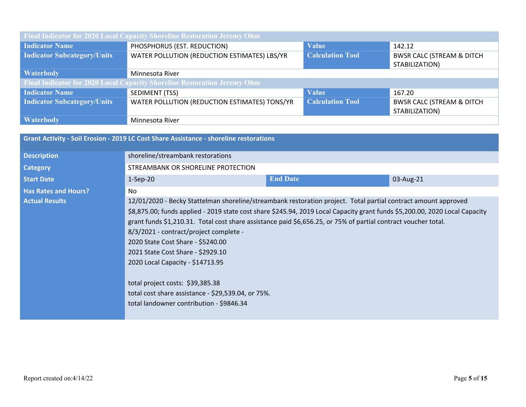| Final Indicator for 2020 Local Capacity Shoreline Restoration Jeremy Ohm |                                                                                                                                    |                         |                                                         |  |  |  |  |
|--------------------------------------------------------------------------|------------------------------------------------------------------------------------------------------------------------------------|-------------------------|---------------------------------------------------------|--|--|--|--|
| <b>Indicator Name</b>                                                    | PHOSPHORUS (EST. REDUCTION)                                                                                                        | <b>Value</b>            | 142.12                                                  |  |  |  |  |
| <b>Indicator Subcategory/Units</b>                                       | <b>Calculation Tool</b><br>WATER POLLUTION (REDUCTION ESTIMATES) LBS/YR<br><b>BWSR CALC (STREAM &amp; DITCH)</b><br>STABILIZATION) |                         |                                                         |  |  |  |  |
| <b>Waterbody</b>                                                         | Minnesota River                                                                                                                    |                         |                                                         |  |  |  |  |
|                                                                          | Final Indicator for 2020 Local Capacity Shoreline Restoration Jeremy Ohm                                                           |                         |                                                         |  |  |  |  |
| <b>Indicator Name</b>                                                    | SEDIMENT (TSS)                                                                                                                     | <b>Value</b>            | 167.20                                                  |  |  |  |  |
| <b>Indicator Subcategory/Units</b>                                       | WATER POLLUTION (REDUCTION ESTIMATES) TONS/YR                                                                                      | <b>Calculation Tool</b> | <b>BWSR CALC (STREAM &amp; DITCH)</b><br>STABILIZATION) |  |  |  |  |
| <b>Waterbody</b>                                                         | Minnesota River                                                                                                                    |                         |                                                         |  |  |  |  |

|                             | Grant Activity - Soil Erosion - 2019 LC Cost Share Assistance - shoreline restorations                                                                                                                                                                                                                                                                                                                                                                                                                                                                                                                                                                        |                 |           |
|-----------------------------|---------------------------------------------------------------------------------------------------------------------------------------------------------------------------------------------------------------------------------------------------------------------------------------------------------------------------------------------------------------------------------------------------------------------------------------------------------------------------------------------------------------------------------------------------------------------------------------------------------------------------------------------------------------|-----------------|-----------|
| <b>Description</b>          | shoreline/streambank restorations                                                                                                                                                                                                                                                                                                                                                                                                                                                                                                                                                                                                                             |                 |           |
| <b>Category</b>             | STREAMBANK OR SHORELINE PROTECTION                                                                                                                                                                                                                                                                                                                                                                                                                                                                                                                                                                                                                            |                 |           |
| <b>Start Date</b>           | $1-Sep-20$                                                                                                                                                                                                                                                                                                                                                                                                                                                                                                                                                                                                                                                    | <b>End Date</b> | 03-Aug-21 |
| <b>Has Rates and Hours?</b> | No.                                                                                                                                                                                                                                                                                                                                                                                                                                                                                                                                                                                                                                                           |                 |           |
| <b>Actual Results</b>       | 12/01/2020 - Becky Stattelman shoreline/streambank restoration project. Total partial contract amount approved<br>\$8,875.00; funds applied - 2019 state cost share \$245.94, 2019 Local Capacity grant funds \$5,200.00, 2020 Local Capacity<br>grant funds \$1,210.31. Total cost share assistance paid \$6,656.25, or 75% of partial contract voucher total.<br>8/3/2021 - contract/project complete -<br>2020 State Cost Share - \$5240.00<br>2021 State Cost Share - \$2929.10<br>2020 Local Capacity - \$14713.95<br>total project costs: \$39,385.38<br>total cost share assistance - \$29,539.04, or 75%.<br>total landowner contribution - \$9846.34 |                 |           |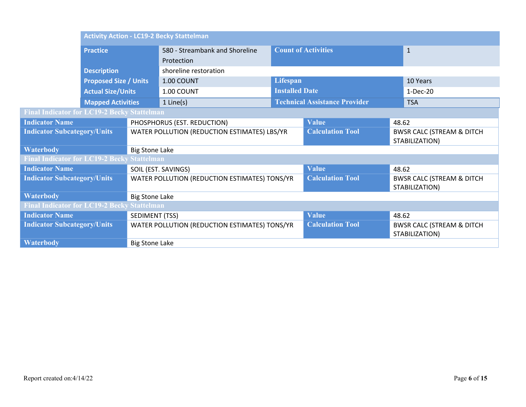|                                                    | <b>Activity Action - LC19-2 Becky Stattelman</b>   |                                               |                                               |                         |                                      |                                                         |                                                         |  |
|----------------------------------------------------|----------------------------------------------------|-----------------------------------------------|-----------------------------------------------|-------------------------|--------------------------------------|---------------------------------------------------------|---------------------------------------------------------|--|
|                                                    | <b>Practice</b>                                    |                                               | 580 - Streambank and Shoreline                |                         | <b>Count of Activities</b>           |                                                         | $\mathbf{1}$                                            |  |
|                                                    |                                                    |                                               | Protection                                    |                         |                                      |                                                         |                                                         |  |
|                                                    | <b>Description</b>                                 |                                               | shoreline restoration                         |                         |                                      |                                                         |                                                         |  |
|                                                    | <b>Proposed Size / Units</b>                       |                                               | 1.00 COUNT                                    | Lifespan                |                                      |                                                         | 10 Years                                                |  |
|                                                    | <b>Actual Size/Units</b>                           |                                               | 1.00 COUNT                                    | <b>Installed Date</b>   |                                      |                                                         | $1-Dec-20$                                              |  |
|                                                    | <b>Mapped Activities</b>                           |                                               | $1$ Line(s)                                   |                         | <b>Technical Assistance Provider</b> |                                                         | <b>TSA</b>                                              |  |
| <b>Final Indicator for LC19-2 Becky Stattelman</b> |                                                    |                                               |                                               |                         |                                      |                                                         |                                                         |  |
| <b>Indicator Name</b>                              |                                                    |                                               | PHOSPHORUS (EST. REDUCTION)                   |                         | <b>Value</b>                         | 48.62                                                   |                                                         |  |
| <b>Indicator Subcategory/Units</b>                 |                                                    |                                               | WATER POLLUTION (REDUCTION ESTIMATES) LBS/YR  |                         | <b>Calculation Tool</b>              | <b>BWSR CALC (STREAM &amp; DITCH)</b><br>STABILIZATION) |                                                         |  |
| <b>Waterbody</b>                                   |                                                    | <b>Big Stone Lake</b>                         |                                               |                         |                                      |                                                         |                                                         |  |
| <b>Final Indicator for LC19-2 Becky Stattelman</b> |                                                    |                                               |                                               |                         |                                      |                                                         |                                                         |  |
| <b>Indicator Name</b>                              |                                                    |                                               | SOIL (EST. SAVINGS)                           |                         | <b>Value</b>                         | 48.62                                                   |                                                         |  |
| <b>Indicator Subcategory/Units</b>                 |                                                    | WATER POLLUTION (REDUCTION ESTIMATES) TONS/YR |                                               | <b>Calculation Tool</b> |                                      | <b>BWSR CALC (STREAM &amp; DITCH</b><br>STABILIZATION)  |                                                         |  |
| <b>Waterbody</b>                                   |                                                    | <b>Big Stone Lake</b>                         |                                               |                         |                                      |                                                         |                                                         |  |
|                                                    | <b>Final Indicator for LC19-2 Becky Stattelman</b> |                                               |                                               |                         |                                      |                                                         |                                                         |  |
| <b>Indicator Name</b>                              |                                                    |                                               | SEDIMENT (TSS)                                |                         | <b>Value</b>                         | 48.62                                                   |                                                         |  |
| <b>Indicator Subcategory/Units</b>                 |                                                    |                                               | WATER POLLUTION (REDUCTION ESTIMATES) TONS/YR |                         | <b>Calculation Tool</b>              |                                                         | <b>BWSR CALC (STREAM &amp; DITCH)</b><br>STABILIZATION) |  |
| <b>Waterbody</b>                                   |                                                    | <b>Big Stone Lake</b>                         |                                               |                         |                                      |                                                         |                                                         |  |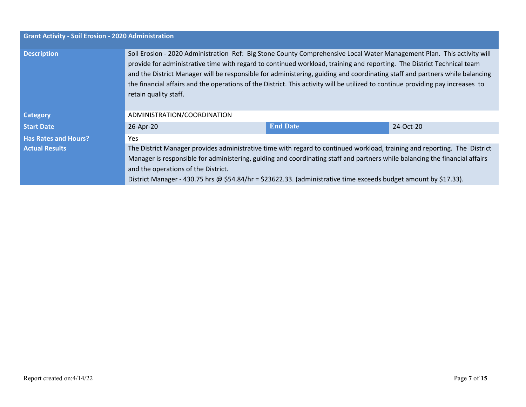| <b>Grant Activity - Soil Erosion - 2020 Administration</b> |                                                                                                                                                                                                                                                                                                                                                                                                                                                                                                                                             |                 |           |
|------------------------------------------------------------|---------------------------------------------------------------------------------------------------------------------------------------------------------------------------------------------------------------------------------------------------------------------------------------------------------------------------------------------------------------------------------------------------------------------------------------------------------------------------------------------------------------------------------------------|-----------------|-----------|
| <b>Description</b>                                         | Soil Erosion - 2020 Administration Ref: Big Stone County Comprehensive Local Water Management Plan. This activity will<br>provide for administrative time with regard to continued workload, training and reporting. The District Technical team<br>and the District Manager will be responsible for administering, guiding and coordinating staff and partners while balancing<br>the financial affairs and the operations of the District. This activity will be utilized to continue providing pay increases to<br>retain quality staff. |                 |           |
| <b>Category</b>                                            | ADMINISTRATION/COORDINATION                                                                                                                                                                                                                                                                                                                                                                                                                                                                                                                 |                 |           |
| <b>Start Date</b>                                          | 26-Apr-20                                                                                                                                                                                                                                                                                                                                                                                                                                                                                                                                   | <b>End Date</b> | 24-Oct-20 |
| <b>Has Rates and Hours?</b>                                | <b>Yes</b>                                                                                                                                                                                                                                                                                                                                                                                                                                                                                                                                  |                 |           |
| <b>Actual Results</b>                                      | The District Manager provides administrative time with regard to continued workload, training and reporting. The District<br>Manager is responsible for administering, guiding and coordinating staff and partners while balancing the financial affairs<br>and the operations of the District.<br>District Manager - 430.75 hrs @ \$54.84/hr = \$23622.33. (administrative time exceeds budget amount by \$17.33).                                                                                                                         |                 |           |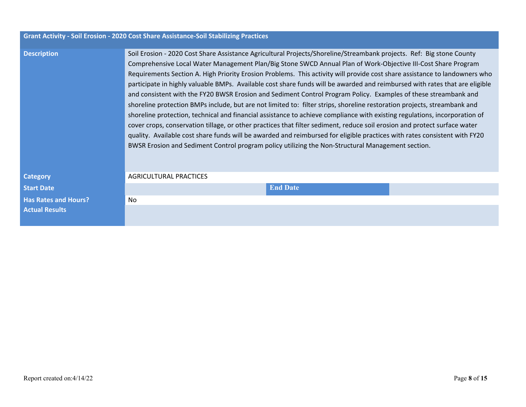|                             | Grant Activity - Soil Erosion - 2020 Cost Share Assistance-Soil Stabilizing Practices                                                                                                                                                                                                                                                                                                                                                                                                                                                                                                                                                                                                                                                                                                                                                                                                                                                                                                                                                                                                                                                                                                                                                          |  |  |
|-----------------------------|------------------------------------------------------------------------------------------------------------------------------------------------------------------------------------------------------------------------------------------------------------------------------------------------------------------------------------------------------------------------------------------------------------------------------------------------------------------------------------------------------------------------------------------------------------------------------------------------------------------------------------------------------------------------------------------------------------------------------------------------------------------------------------------------------------------------------------------------------------------------------------------------------------------------------------------------------------------------------------------------------------------------------------------------------------------------------------------------------------------------------------------------------------------------------------------------------------------------------------------------|--|--|
| <b>Description</b>          | Soil Erosion - 2020 Cost Share Assistance Agricultural Projects/Shoreline/Streambank projects. Ref: Big stone County<br>Comprehensive Local Water Management Plan/Big Stone SWCD Annual Plan of Work-Objective III-Cost Share Program<br>Requirements Section A. High Priority Erosion Problems. This activity will provide cost share assistance to landowners who<br>participate in highly valuable BMPs. Available cost share funds will be awarded and reimbursed with rates that are eligible<br>and consistent with the FY20 BWSR Erosion and Sediment Control Program Policy. Examples of these streambank and<br>shoreline protection BMPs include, but are not limited to: filter strips, shoreline restoration projects, streambank and<br>shoreline protection, technical and financial assistance to achieve compliance with existing regulations, incorporation of<br>cover crops, conservation tillage, or other practices that filter sediment, reduce soil erosion and protect surface water<br>quality. Available cost share funds will be awarded and reimbursed for eligible practices with rates consistent with FY20<br>BWSR Erosion and Sediment Control program policy utilizing the Non-Structural Management section. |  |  |
| <b>Category</b>             | <b>AGRICULTURAL PRACTICES</b>                                                                                                                                                                                                                                                                                                                                                                                                                                                                                                                                                                                                                                                                                                                                                                                                                                                                                                                                                                                                                                                                                                                                                                                                                  |  |  |
| <b>Start Date</b>           | <b>End Date</b>                                                                                                                                                                                                                                                                                                                                                                                                                                                                                                                                                                                                                                                                                                                                                                                                                                                                                                                                                                                                                                                                                                                                                                                                                                |  |  |
| <b>Has Rates and Hours?</b> | No.                                                                                                                                                                                                                                                                                                                                                                                                                                                                                                                                                                                                                                                                                                                                                                                                                                                                                                                                                                                                                                                                                                                                                                                                                                            |  |  |
| <b>Actual Results</b>       |                                                                                                                                                                                                                                                                                                                                                                                                                                                                                                                                                                                                                                                                                                                                                                                                                                                                                                                                                                                                                                                                                                                                                                                                                                                |  |  |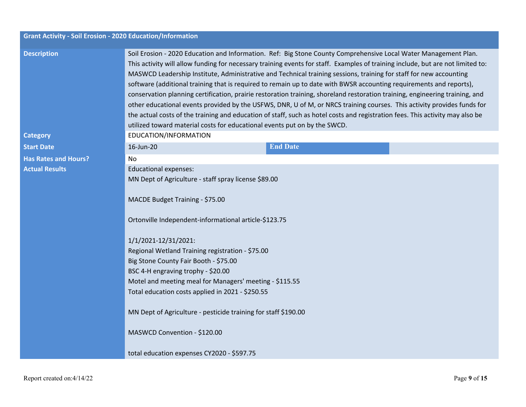| <b>Grant Activity - Soil Erosion - 2020 Education/Information</b> |                                                                                                                                                                                                                                                                                                                                                                                                                                                                                                                                                                                                                                                                                                                                                                                                                                                                                                                                                                          |  |  |  |
|-------------------------------------------------------------------|--------------------------------------------------------------------------------------------------------------------------------------------------------------------------------------------------------------------------------------------------------------------------------------------------------------------------------------------------------------------------------------------------------------------------------------------------------------------------------------------------------------------------------------------------------------------------------------------------------------------------------------------------------------------------------------------------------------------------------------------------------------------------------------------------------------------------------------------------------------------------------------------------------------------------------------------------------------------------|--|--|--|
| <b>Description</b>                                                | Soil Erosion - 2020 Education and Information. Ref: Big Stone County Comprehensive Local Water Management Plan.<br>This activity will allow funding for necessary training events for staff. Examples of training include, but are not limited to:<br>MASWCD Leadership Institute, Administrative and Technical training sessions, training for staff for new accounting<br>software (additional training that is required to remain up to date with BWSR accounting requirements and reports),<br>conservation planning certification, prairie restoration training, shoreland restoration training, engineering training, and<br>other educational events provided by the USFWS, DNR, U of M, or NRCS training courses. This activity provides funds for<br>the actual costs of the training and education of staff, such as hotel costs and registration fees. This activity may also be<br>utilized toward material costs for educational events put on by the SWCD. |  |  |  |
| <b>Category</b>                                                   | EDUCATION/INFORMATION                                                                                                                                                                                                                                                                                                                                                                                                                                                                                                                                                                                                                                                                                                                                                                                                                                                                                                                                                    |  |  |  |
| <b>Start Date</b>                                                 | <b>End Date</b><br>16-Jun-20                                                                                                                                                                                                                                                                                                                                                                                                                                                                                                                                                                                                                                                                                                                                                                                                                                                                                                                                             |  |  |  |
| <b>Has Rates and Hours?</b>                                       | No.                                                                                                                                                                                                                                                                                                                                                                                                                                                                                                                                                                                                                                                                                                                                                                                                                                                                                                                                                                      |  |  |  |
| <b>Actual Results</b>                                             | <b>Educational expenses:</b>                                                                                                                                                                                                                                                                                                                                                                                                                                                                                                                                                                                                                                                                                                                                                                                                                                                                                                                                             |  |  |  |
|                                                                   | MN Dept of Agriculture - staff spray license \$89.00<br>MACDE Budget Training - \$75.00<br>Ortonville Independent-informational article-\$123.75<br>1/1/2021-12/31/2021:<br>Regional Wetland Training registration - \$75.00<br>Big Stone County Fair Booth - \$75.00<br>BSC 4-H engraving trophy - \$20.00<br>Motel and meeting meal for Managers' meeting - \$115.55<br>Total education costs applied in 2021 - \$250.55<br>MN Dept of Agriculture - pesticide training for staff \$190.00<br>MASWCD Convention - \$120.00                                                                                                                                                                                                                                                                                                                                                                                                                                             |  |  |  |
|                                                                   | total education expenses CY2020 - \$597.75                                                                                                                                                                                                                                                                                                                                                                                                                                                                                                                                                                                                                                                                                                                                                                                                                                                                                                                               |  |  |  |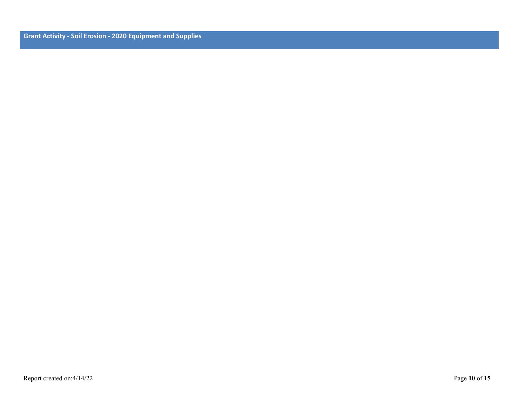**Grant Activity - Soil Erosion - 2020 Equipment and Supplies**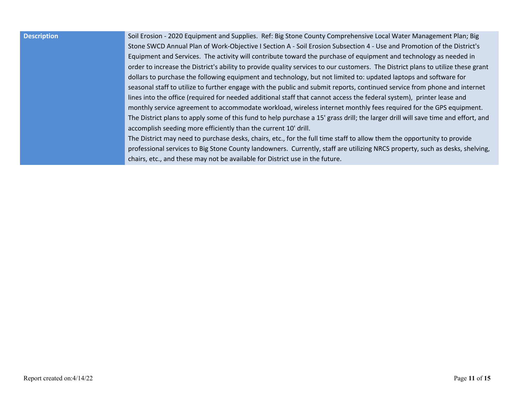**Description** Soil Erosion - 2020 Equipment and Supplies. Ref: Big Stone County Comprehensive Local Water Management Plan; Big Stone SWCD Annual Plan of Work-Objective I Section A - Soil Erosion Subsection 4 - Use and Promotion of the District's Equipment and Services. The activity will contribute toward the purchase of equipment and technology as needed in order to increase the District's ability to provide quality services to our customers. The District plans to utilize these grant dollars to purchase the following equipment and technology, but not limited to: updated laptops and software for seasonal staff to utilize to further engage with the public and submit reports, continued service from phone and internet lines into the office (required for needed additional staff that cannot access the federal system), printer lease and monthly service agreement to accommodate workload, wireless internet monthly fees required for the GPS equipment. The District plans to apply some of this fund to help purchase a 15' grass drill; the larger drill will save time and effort, and accomplish seeding more efficiently than the current 10' drill.

> The District may need to purchase desks, chairs, etc., for the full time staff to allow them the opportunity to provide professional services to Big Stone County landowners. Currently, staff are utilizing NRCS property, such as desks, shelving, chairs, etc., and these may not be available for District use in the future.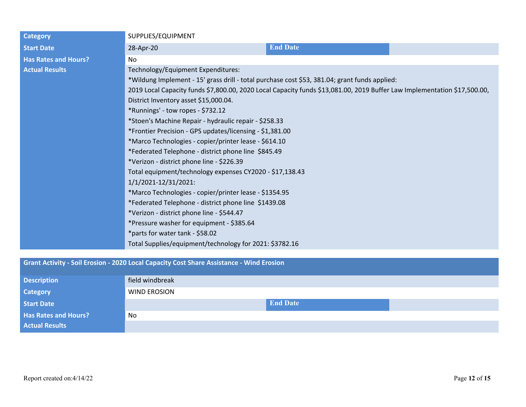| <b>Category</b>             | SUPPLIES/EQUIPMENT                                                                                                                                                                                                                                                                                                                                                                                                                                                                                                                                                                                                                                                                                                                                         |                 |  |
|-----------------------------|------------------------------------------------------------------------------------------------------------------------------------------------------------------------------------------------------------------------------------------------------------------------------------------------------------------------------------------------------------------------------------------------------------------------------------------------------------------------------------------------------------------------------------------------------------------------------------------------------------------------------------------------------------------------------------------------------------------------------------------------------------|-----------------|--|
| <b>Start Date</b>           | 28-Apr-20                                                                                                                                                                                                                                                                                                                                                                                                                                                                                                                                                                                                                                                                                                                                                  | <b>End Date</b> |  |
| <b>Has Rates and Hours?</b> | No                                                                                                                                                                                                                                                                                                                                                                                                                                                                                                                                                                                                                                                                                                                                                         |                 |  |
| <b>Actual Results</b>       | Technology/Equipment Expenditures:                                                                                                                                                                                                                                                                                                                                                                                                                                                                                                                                                                                                                                                                                                                         |                 |  |
|                             | *Wildung Implement - 15' grass drill - total purchase cost \$53, 381.04; grant funds applied:                                                                                                                                                                                                                                                                                                                                                                                                                                                                                                                                                                                                                                                              |                 |  |
|                             | 2019 Local Capacity funds \$7,800.00, 2020 Local Capacity funds \$13,081.00, 2019 Buffer Law Implementation \$17,500.00,                                                                                                                                                                                                                                                                                                                                                                                                                                                                                                                                                                                                                                   |                 |  |
|                             | District Inventory asset \$15,000.04.<br>*Runnings' - tow ropes - \$732.12<br>*Stoen's Machine Repair - hydraulic repair - \$258.33<br>*Frontier Precision - GPS updates/licensing - \$1,381.00<br>*Marco Technologies - copier/printer lease - \$614.10<br>*Federated Telephone - district phone line \$845.49<br>*Verizon - district phone line - \$226.39<br>Total equipment/technology expenses CY2020 - \$17,138.43<br>1/1/2021-12/31/2021:<br>*Marco Technologies - copier/printer lease - \$1354.95<br>*Federated Telephone - district phone line \$1439.08<br>*Verizon - district phone line - \$544.47<br>*Pressure washer for equipment - \$385.64<br>*parts for water tank - \$58.02<br>Total Supplies/equipment/technology for 2021: \$3782.16 |                 |  |
|                             |                                                                                                                                                                                                                                                                                                                                                                                                                                                                                                                                                                                                                                                                                                                                                            |                 |  |
|                             |                                                                                                                                                                                                                                                                                                                                                                                                                                                                                                                                                                                                                                                                                                                                                            |                 |  |
|                             |                                                                                                                                                                                                                                                                                                                                                                                                                                                                                                                                                                                                                                                                                                                                                            |                 |  |
|                             |                                                                                                                                                                                                                                                                                                                                                                                                                                                                                                                                                                                                                                                                                                                                                            |                 |  |
|                             |                                                                                                                                                                                                                                                                                                                                                                                                                                                                                                                                                                                                                                                                                                                                                            |                 |  |
|                             |                                                                                                                                                                                                                                                                                                                                                                                                                                                                                                                                                                                                                                                                                                                                                            |                 |  |
|                             |                                                                                                                                                                                                                                                                                                                                                                                                                                                                                                                                                                                                                                                                                                                                                            |                 |  |
|                             |                                                                                                                                                                                                                                                                                                                                                                                                                                                                                                                                                                                                                                                                                                                                                            |                 |  |
|                             |                                                                                                                                                                                                                                                                                                                                                                                                                                                                                                                                                                                                                                                                                                                                                            |                 |  |
|                             |                                                                                                                                                                                                                                                                                                                                                                                                                                                                                                                                                                                                                                                                                                                                                            |                 |  |
|                             |                                                                                                                                                                                                                                                                                                                                                                                                                                                                                                                                                                                                                                                                                                                                                            |                 |  |
|                             |                                                                                                                                                                                                                                                                                                                                                                                                                                                                                                                                                                                                                                                                                                                                                            |                 |  |
|                             |                                                                                                                                                                                                                                                                                                                                                                                                                                                                                                                                                                                                                                                                                                                                                            |                 |  |
|                             |                                                                                                                                                                                                                                                                                                                                                                                                                                                                                                                                                                                                                                                                                                                                                            |                 |  |

# **Grant Activity - Soil Erosion - 2020 Local Capacity Cost Share Assistance - Wind Erosion**

| <b>Description</b>          | field windbreak     |                 |  |
|-----------------------------|---------------------|-----------------|--|
| <b>Category</b>             | <b>WIND EROSION</b> |                 |  |
| <b>Start Date</b>           |                     | <b>End Date</b> |  |
| <b>Has Rates and Hours?</b> | <b>No</b>           |                 |  |
| <b>Actual Results</b>       |                     |                 |  |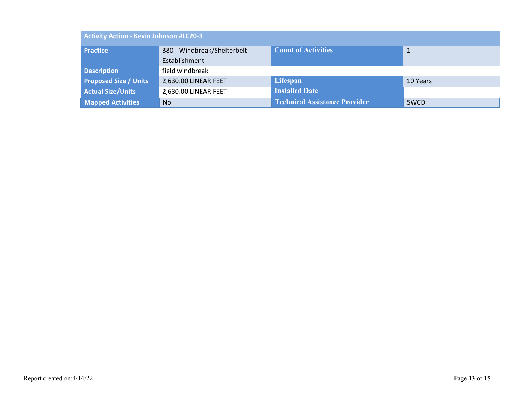| Activity Action - Kevin Johnson #LC20-3 |                             |                                      |             |
|-----------------------------------------|-----------------------------|--------------------------------------|-------------|
| <b>Practice</b>                         | 380 - Windbreak/Shelterbelt | <b>Count of Activities</b>           | 1           |
|                                         | Establishment               |                                      |             |
| <b>Description</b>                      | field windbreak             |                                      |             |
| <b>Proposed Size / Units</b>            | 2,630.00 LINEAR FEET        | Lifespan                             | 10 Years    |
| <b>Actual Size/Units</b>                | 2,630.00 LINEAR FEET        | <b>Installed Date</b>                |             |
| <b>Mapped Activities</b>                | <b>No</b>                   | <b>Technical Assistance Provider</b> | <b>SWCD</b> |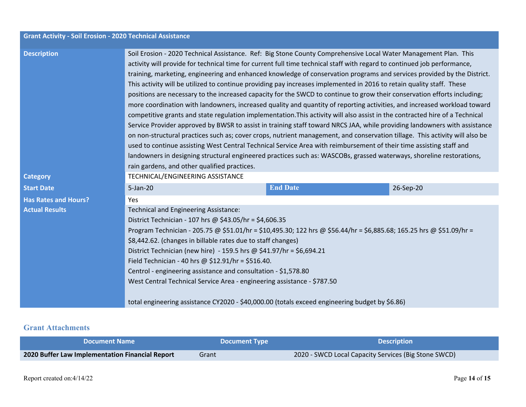| <b>Grant Activity - Soil Erosion - 2020 Technical Assistance</b> |                                                                                                                                                                                                                                                                                                                                                                                                                                                                                                                                                                                                                                                                                                                                                                                                                                                                                                                                                                                                                                                                                                                                                                                                                                                                                                                                                                                                                                                    |  |  |  |
|------------------------------------------------------------------|----------------------------------------------------------------------------------------------------------------------------------------------------------------------------------------------------------------------------------------------------------------------------------------------------------------------------------------------------------------------------------------------------------------------------------------------------------------------------------------------------------------------------------------------------------------------------------------------------------------------------------------------------------------------------------------------------------------------------------------------------------------------------------------------------------------------------------------------------------------------------------------------------------------------------------------------------------------------------------------------------------------------------------------------------------------------------------------------------------------------------------------------------------------------------------------------------------------------------------------------------------------------------------------------------------------------------------------------------------------------------------------------------------------------------------------------------|--|--|--|
| <b>Description</b>                                               | Soil Erosion - 2020 Technical Assistance. Ref: Big Stone County Comprehensive Local Water Management Plan. This<br>activity will provide for technical time for current full time technical staff with regard to continued job performance,<br>training, marketing, engineering and enhanced knowledge of conservation programs and services provided by the District.<br>This activity will be utilized to continue providing pay increases implemented in 2016 to retain quality staff. These<br>positions are necessary to the increased capacity for the SWCD to continue to grow their conservation efforts including;<br>more coordination with landowners, increased quality and quantity of reporting activities, and increased workload toward<br>competitive grants and state regulation implementation. This activity will also assist in the contracted hire of a Technical<br>Service Provider approved by BWSR to assist in training staff toward NRCS JAA, while providing landowners with assistance<br>on non-structural practices such as; cover crops, nutrient management, and conservation tillage. This activity will also be<br>used to continue assisting West Central Technical Service Area with reimbursement of their time assisting staff and<br>landowners in designing structural engineered practices such as: WASCOBs, grassed waterways, shoreline restorations,<br>rain gardens, and other qualified practices. |  |  |  |
| <b>Category</b>                                                  | TECHNICAL/ENGINEERING ASSISTANCE                                                                                                                                                                                                                                                                                                                                                                                                                                                                                                                                                                                                                                                                                                                                                                                                                                                                                                                                                                                                                                                                                                                                                                                                                                                                                                                                                                                                                   |  |  |  |
| <b>Start Date</b>                                                | <b>End Date</b><br>$5$ -Jan $-20$<br>26-Sep-20                                                                                                                                                                                                                                                                                                                                                                                                                                                                                                                                                                                                                                                                                                                                                                                                                                                                                                                                                                                                                                                                                                                                                                                                                                                                                                                                                                                                     |  |  |  |
| <b>Has Rates and Hours?</b>                                      | <b>Yes</b>                                                                                                                                                                                                                                                                                                                                                                                                                                                                                                                                                                                                                                                                                                                                                                                                                                                                                                                                                                                                                                                                                                                                                                                                                                                                                                                                                                                                                                         |  |  |  |
| <b>Actual Results</b>                                            | Technical and Engineering Assistance:                                                                                                                                                                                                                                                                                                                                                                                                                                                                                                                                                                                                                                                                                                                                                                                                                                                                                                                                                                                                                                                                                                                                                                                                                                                                                                                                                                                                              |  |  |  |
|                                                                  | District Technician - 107 hrs @ \$43.05/hr = \$4,606.35                                                                                                                                                                                                                                                                                                                                                                                                                                                                                                                                                                                                                                                                                                                                                                                                                                                                                                                                                                                                                                                                                                                                                                                                                                                                                                                                                                                            |  |  |  |
|                                                                  | Program Technician - 205.75 @ \$51.01/hr = \$10,495.30; 122 hrs @ \$56.44/hr = \$6,885.68; 165.25 hrs @ \$51.09/hr =                                                                                                                                                                                                                                                                                                                                                                                                                                                                                                                                                                                                                                                                                                                                                                                                                                                                                                                                                                                                                                                                                                                                                                                                                                                                                                                               |  |  |  |
|                                                                  | \$8,442.62. (changes in billable rates due to staff changes)                                                                                                                                                                                                                                                                                                                                                                                                                                                                                                                                                                                                                                                                                                                                                                                                                                                                                                                                                                                                                                                                                                                                                                                                                                                                                                                                                                                       |  |  |  |
|                                                                  | District Technician (new hire) - 159.5 hrs @ \$41.97/hr = \$6,694.21                                                                                                                                                                                                                                                                                                                                                                                                                                                                                                                                                                                                                                                                                                                                                                                                                                                                                                                                                                                                                                                                                                                                                                                                                                                                                                                                                                               |  |  |  |
|                                                                  | Field Technician - 40 hrs @ $$12.91/hr = $516.40$ .                                                                                                                                                                                                                                                                                                                                                                                                                                                                                                                                                                                                                                                                                                                                                                                                                                                                                                                                                                                                                                                                                                                                                                                                                                                                                                                                                                                                |  |  |  |
|                                                                  | Centrol - engineering assistance and consultation - \$1,578.80                                                                                                                                                                                                                                                                                                                                                                                                                                                                                                                                                                                                                                                                                                                                                                                                                                                                                                                                                                                                                                                                                                                                                                                                                                                                                                                                                                                     |  |  |  |
|                                                                  | West Central Technical Service Area - engineering assistance - \$787.50                                                                                                                                                                                                                                                                                                                                                                                                                                                                                                                                                                                                                                                                                                                                                                                                                                                                                                                                                                                                                                                                                                                                                                                                                                                                                                                                                                            |  |  |  |
|                                                                  | total engineering assistance CY2020 - \$40,000.00 (totals exceed engineering budget by \$6.86)                                                                                                                                                                                                                                                                                                                                                                                                                                                                                                                                                                                                                                                                                                                                                                                                                                                                                                                                                                                                                                                                                                                                                                                                                                                                                                                                                     |  |  |  |

#### **Grant Attachments**

| <b>Document Name</b>                            | <b>Document Type \</b> | <b>Description</b>                                   |
|-------------------------------------------------|------------------------|------------------------------------------------------|
| 2020 Buffer Law Implementation Financial Report | Grant                  | 2020 - SWCD Local Capacity Services (Big Stone SWCD) |